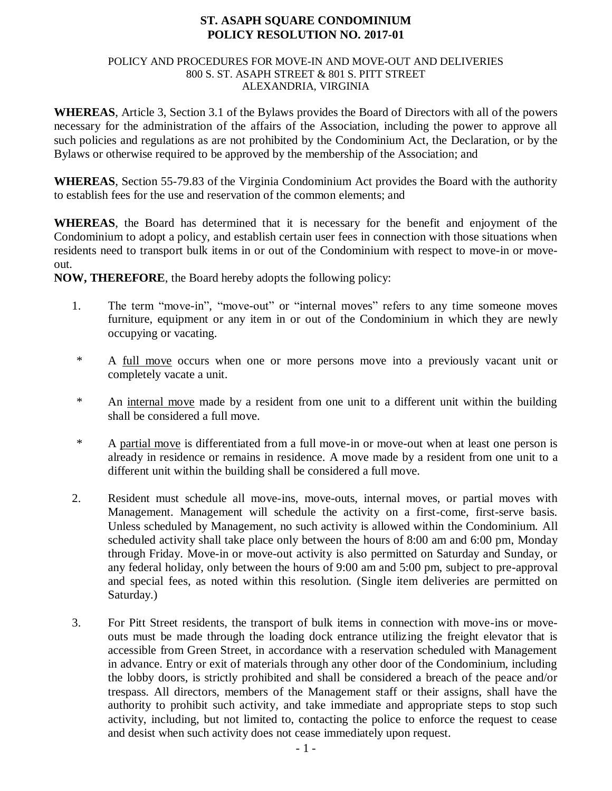## **ST. ASAPH SQUARE CONDOMINIUM POLICY RESOLUTION NO. 2017-01**

#### POLICY AND PROCEDURES FOR MOVE-IN AND MOVE-OUT AND DELIVERIES 800 S. ST. ASAPH STREET & 801 S. PITT STREET ALEXANDRIA, VIRGINIA

**WHEREAS**, Article 3, Section 3.1 of the Bylaws provides the Board of Directors with all of the powers necessary for the administration of the affairs of the Association, including the power to approve all such policies and regulations as are not prohibited by the Condominium Act, the Declaration, or by the Bylaws or otherwise required to be approved by the membership of the Association; and

**WHEREAS**, Section 55-79.83 of the Virginia Condominium Act provides the Board with the authority to establish fees for the use and reservation of the common elements; and

**WHEREAS**, the Board has determined that it is necessary for the benefit and enjoyment of the Condominium to adopt a policy, and establish certain user fees in connection with those situations when residents need to transport bulk items in or out of the Condominium with respect to move-in or moveout.

**NOW, THEREFORE**, the Board hereby adopts the following policy:

- 1. The term "move-in", "move-out" or "internal moves" refers to any time someone moves furniture, equipment or any item in or out of the Condominium in which they are newly occupying or vacating.
- \* A full move occurs when one or more persons move into a previously vacant unit or completely vacate a unit.
- \* An internal move made by a resident from one unit to a different unit within the building shall be considered a full move.
- \* A partial move is differentiated from a full move-in or move-out when at least one person is already in residence or remains in residence. A move made by a resident from one unit to a different unit within the building shall be considered a full move.
- 2. Resident must schedule all move-ins, move-outs, internal moves, or partial moves with Management. Management will schedule the activity on a first-come, first-serve basis. Unless scheduled by Management, no such activity is allowed within the Condominium. All scheduled activity shall take place only between the hours of 8:00 am and 6:00 pm, Monday through Friday. Move-in or move-out activity is also permitted on Saturday and Sunday, or any federal holiday, only between the hours of 9:00 am and 5:00 pm, subject to pre-approval and special fees, as noted within this resolution. (Single item deliveries are permitted on Saturday.)
- 3. For Pitt Street residents, the transport of bulk items in connection with move-ins or moveouts must be made through the loading dock entrance utilizing the freight elevator that is accessible from Green Street, in accordance with a reservation scheduled with Management in advance. Entry or exit of materials through any other door of the Condominium, including the lobby doors, is strictly prohibited and shall be considered a breach of the peace and/or trespass. All directors, members of the Management staff or their assigns, shall have the authority to prohibit such activity, and take immediate and appropriate steps to stop such activity, including, but not limited to, contacting the police to enforce the request to cease and desist when such activity does not cease immediately upon request.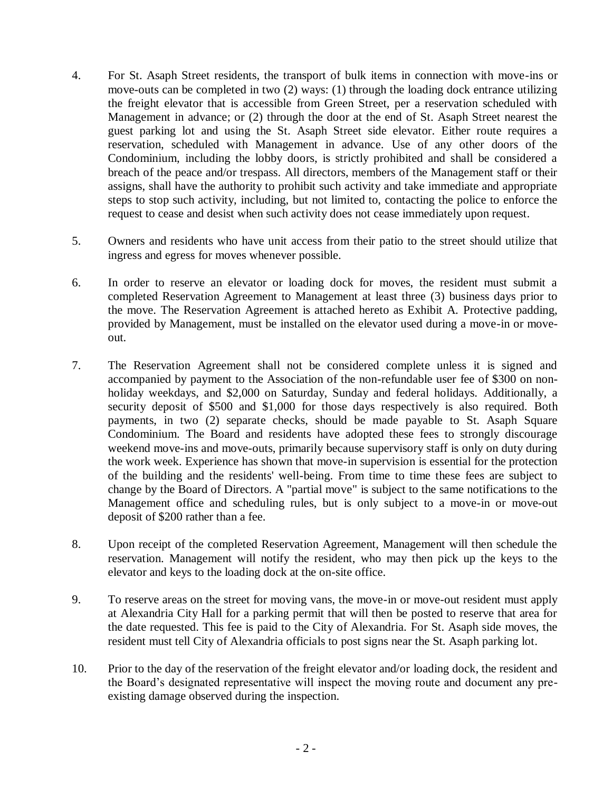- 4. For St. Asaph Street residents, the transport of bulk items in connection with move-ins or move-outs can be completed in two (2) ways: (1) through the loading dock entrance utilizing the freight elevator that is accessible from Green Street, per a reservation scheduled with Management in advance; or (2) through the door at the end of St. Asaph Street nearest the guest parking lot and using the St. Asaph Street side elevator. Either route requires a reservation, scheduled with Management in advance. Use of any other doors of the Condominium, including the lobby doors, is strictly prohibited and shall be considered a breach of the peace and/or trespass. All directors, members of the Management staff or their assigns, shall have the authority to prohibit such activity and take immediate and appropriate steps to stop such activity, including, but not limited to, contacting the police to enforce the request to cease and desist when such activity does not cease immediately upon request.
- 5. Owners and residents who have unit access from their patio to the street should utilize that ingress and egress for moves whenever possible.
- 6. In order to reserve an elevator or loading dock for moves, the resident must submit a completed Reservation Agreement to Management at least three (3) business days prior to the move. The Reservation Agreement is attached hereto as Exhibit A. Protective padding, provided by Management, must be installed on the elevator used during a move-in or moveout.
- 7. The Reservation Agreement shall not be considered complete unless it is signed and accompanied by payment to the Association of the non-refundable user fee of \$300 on nonholiday weekdays, and \$2,000 on Saturday, Sunday and federal holidays. Additionally, a security deposit of \$500 and \$1,000 for those days respectively is also required. Both payments, in two (2) separate checks, should be made payable to St. Asaph Square Condominium. The Board and residents have adopted these fees to strongly discourage weekend move-ins and move-outs, primarily because supervisory staff is only on duty during the work week. Experience has shown that move-in supervision is essential for the protection of the building and the residents' well-being. From time to time these fees are subject to change by the Board of Directors. A "partial move" is subject to the same notifications to the Management office and scheduling rules, but is only subject to a move-in or move-out deposit of \$200 rather than a fee.
- 8. Upon receipt of the completed Reservation Agreement, Management will then schedule the reservation. Management will notify the resident, who may then pick up the keys to the elevator and keys to the loading dock at the on-site office.
- 9. To reserve areas on the street for moving vans, the move-in or move-out resident must apply at Alexandria City Hall for a parking permit that will then be posted to reserve that area for the date requested. This fee is paid to the City of Alexandria. For St. Asaph side moves, the resident must tell City of Alexandria officials to post signs near the St. Asaph parking lot.
- 10. Prior to the day of the reservation of the freight elevator and/or loading dock, the resident and the Board's designated representative will inspect the moving route and document any preexisting damage observed during the inspection.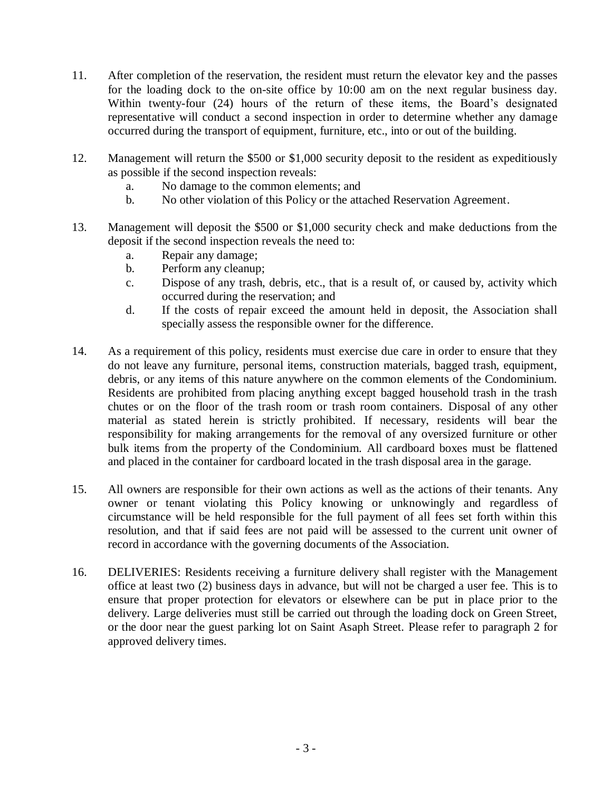- 11. After completion of the reservation, the resident must return the elevator key and the passes for the loading dock to the on-site office by 10:00 am on the next regular business day. Within twenty-four (24) hours of the return of these items, the Board's designated representative will conduct a second inspection in order to determine whether any damage occurred during the transport of equipment, furniture, etc., into or out of the building.
- 12. Management will return the \$500 or \$1,000 security deposit to the resident as expeditiously as possible if the second inspection reveals:
	- a. No damage to the common elements; and
	- b. No other violation of this Policy or the attached Reservation Agreement.
- 13. Management will deposit the \$500 or \$1,000 security check and make deductions from the deposit if the second inspection reveals the need to:
	- a. Repair any damage;
	- b. Perform any cleanup;
	- c. Dispose of any trash, debris, etc., that is a result of, or caused by, activity which occurred during the reservation; and
	- d. If the costs of repair exceed the amount held in deposit, the Association shall specially assess the responsible owner for the difference.
- 14. As a requirement of this policy, residents must exercise due care in order to ensure that they do not leave any furniture, personal items, construction materials, bagged trash, equipment, debris, or any items of this nature anywhere on the common elements of the Condominium. Residents are prohibited from placing anything except bagged household trash in the trash chutes or on the floor of the trash room or trash room containers. Disposal of any other material as stated herein is strictly prohibited. If necessary, residents will bear the responsibility for making arrangements for the removal of any oversized furniture or other bulk items from the property of the Condominium. All cardboard boxes must be flattened and placed in the container for cardboard located in the trash disposal area in the garage.
- 15. All owners are responsible for their own actions as well as the actions of their tenants. Any owner or tenant violating this Policy knowing or unknowingly and regardless of circumstance will be held responsible for the full payment of all fees set forth within this resolution, and that if said fees are not paid will be assessed to the current unit owner of record in accordance with the governing documents of the Association.
- 16. DELIVERIES: Residents receiving a furniture delivery shall register with the Management office at least two (2) business days in advance, but will not be charged a user fee. This is to ensure that proper protection for elevators or elsewhere can be put in place prior to the delivery. Large deliveries must still be carried out through the loading dock on Green Street, or the door near the guest parking lot on Saint Asaph Street. Please refer to paragraph 2 for approved delivery times.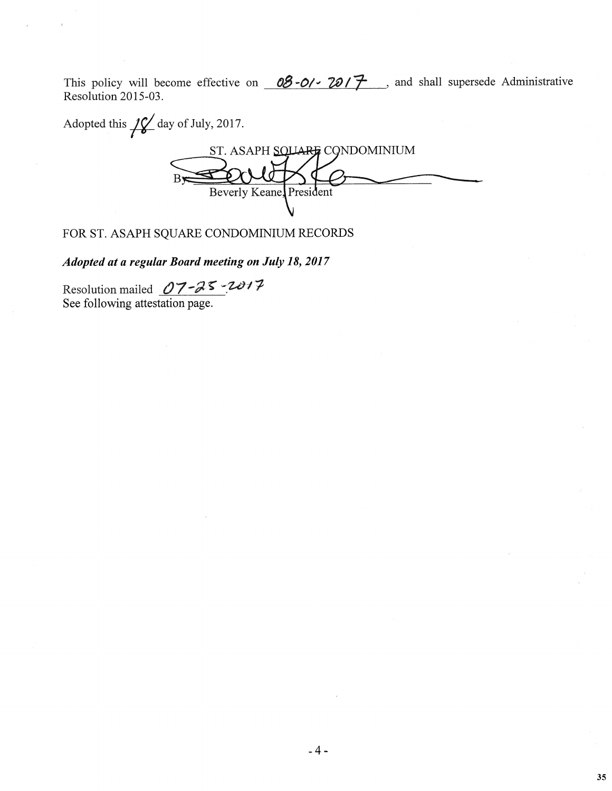This policy will become effective on  $08-0$   $07-70/7$ , and shall supersede Administrative Resolution 2015-03.

Adopted this  $\sqrt{\frac{2}{\pi}}$  day of July, 2017. ST. ASAPH SQUARE CONDOMINIUM Beverly Keane, President

FOR ST. ASAPH SQUARE CONDOMINIUM RECORDS

Adopted at a regular Board meeting on July 18, 2017

Resolution mailed  $07 - 25 - 2017$ See following attestation page.

35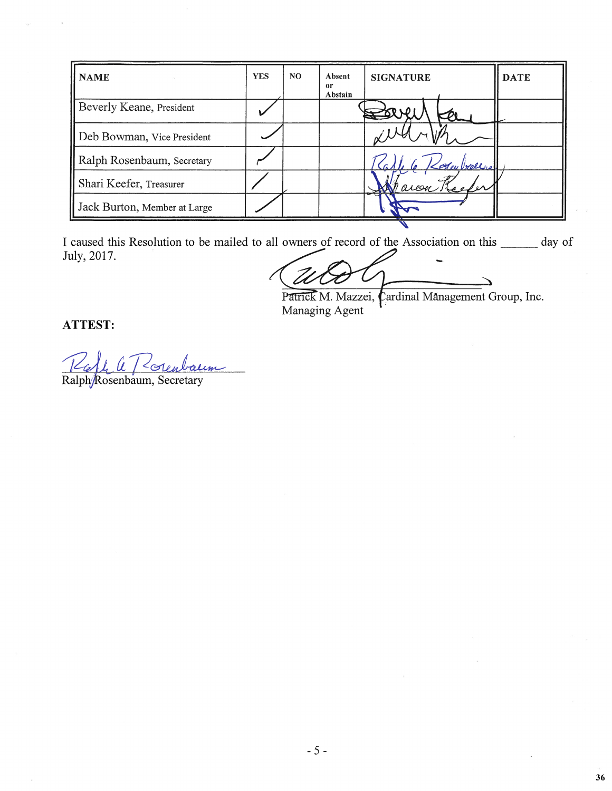| <b>NAME</b>                  | <b>YES</b> | NO. | Absent<br>0r<br>Abstain | <b>SIGNATURE</b> | <b>DATE</b> |
|------------------------------|------------|-----|-------------------------|------------------|-------------|
| Beverly Keane, President     |            |     |                         |                  |             |
| Deb Bowman, Vice President   |            |     |                         |                  |             |
| Ralph Rosenbaum, Secretary   |            |     |                         | Stey bellers     |             |
| Shari Keefer, Treasurer      |            |     |                         | areen.           |             |
| Jack Burton, Member at Large |            |     |                         |                  |             |

I caused this Resolution to be mailed to all owners of record of the Association on this \_\_\_\_\_\_ day of July, 2017.

Patrick M. Mazzei, Cardinal Management Group, Inc. Managing Agent

36

# ATTEST:

Ralph/Rosenbaum, Secretary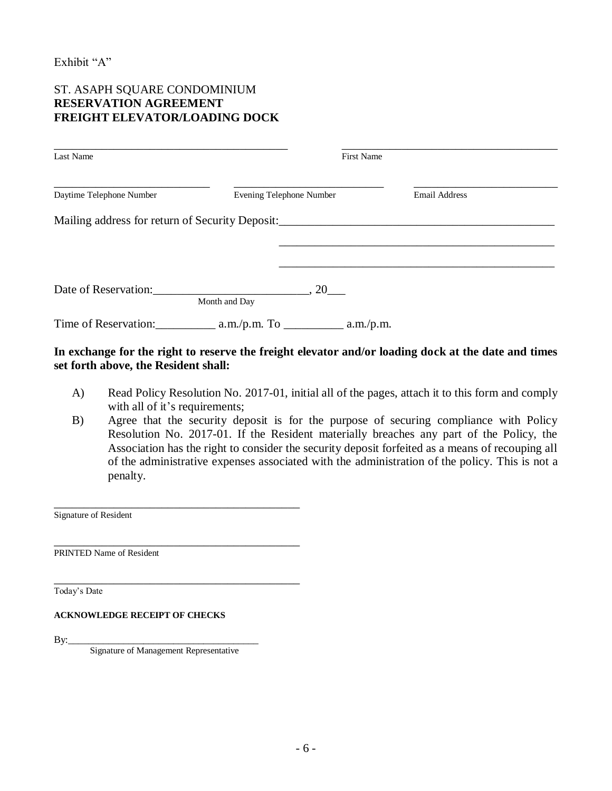Exhibit "A"

### ST. ASAPH SQUARE CONDOMINIUM **RESERVATION AGREEMENT FREIGHT ELEVATOR/LOADING DOCK**

| Last Name                                            |               |     | <b>First Name</b> |                      |  |
|------------------------------------------------------|---------------|-----|-------------------|----------------------|--|
| Daytime Telephone Number<br>Evening Telephone Number |               |     |                   | <b>Email Address</b> |  |
| Mailing address for return of Security Deposit:      |               |     |                   |                      |  |
|                                                      |               |     |                   |                      |  |
|                                                      |               |     |                   |                      |  |
| Date of Reservation:                                 | Month and Day | .20 |                   |                      |  |
| Time of Reservation:                                 |               |     |                   |                      |  |

### **In exchange for the right to reserve the freight elevator and/or loading dock at the date and times set forth above, the Resident shall:**

- A) Read Policy Resolution No. 2017-01, initial all of the pages, attach it to this form and comply with all of it's requirements;
- B) Agree that the security deposit is for the purpose of securing compliance with Policy Resolution No. 2017-01. If the Resident materially breaches any part of the Policy, the Association has the right to consider the security deposit forfeited as a means of recouping all of the administrative expenses associated with the administration of the policy. This is not a penalty.

Signature of Resident

\_\_\_\_\_\_\_\_\_\_\_\_\_\_\_\_\_\_\_\_\_\_\_\_\_\_\_\_\_\_\_\_\_\_\_\_\_\_\_\_\_ PRINTED Name of Resident

Today's Date

#### **ACKNOWLEDGE RECEIPT OF CHECKS**

By:\_\_\_\_\_\_\_\_\_\_\_\_\_\_\_\_\_\_\_\_\_\_\_\_\_\_\_\_\_\_\_\_\_\_\_\_\_\_

Signature of Management Representative

\_\_\_\_\_\_\_\_\_\_\_\_\_\_\_\_\_\_\_\_\_\_\_\_\_\_\_\_\_\_\_\_\_\_\_\_\_\_\_\_\_

\_\_\_\_\_\_\_\_\_\_\_\_\_\_\_\_\_\_\_\_\_\_\_\_\_\_\_\_\_\_\_\_\_\_\_\_\_\_\_\_\_